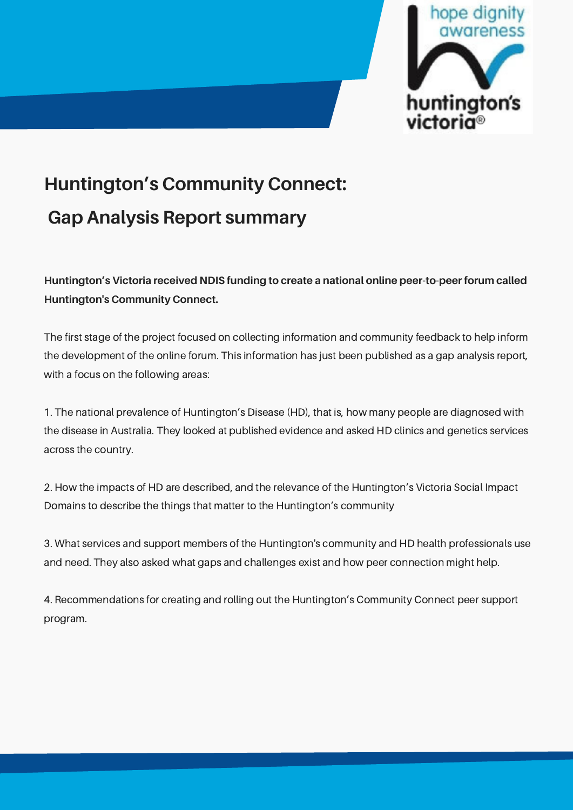

# **Huntington's Community Connect: Gap Analysis Report summary**

**Huntington's Victoria received NDIS funding to create a national online peer-to-peer forum called Huntington's Community Connect.**

The first stage of the project focused on collecting information and community feedback to help inform the development of the online forum. This information has just been published as a gap analysis report, with a focus on the following areas:

1. The national prevalence of Huntington's Disease (HD), that is, how many people are diagnosed with the disease in Australia. They looked at published evidence and asked HD clinics and genetics services across the country.

2. How the impacts of HD are described, and the relevance of the Huntington's Victoria Social Impact Domains to describe the things that matter to the Huntington's community

3. What services and support members of the Huntington's community and HD health professionals use and need. They also asked what gaps and challenges exist and how peer connection might help.

4. Recommendations for creating and rolling out the Huntington's Community Connect peer support program.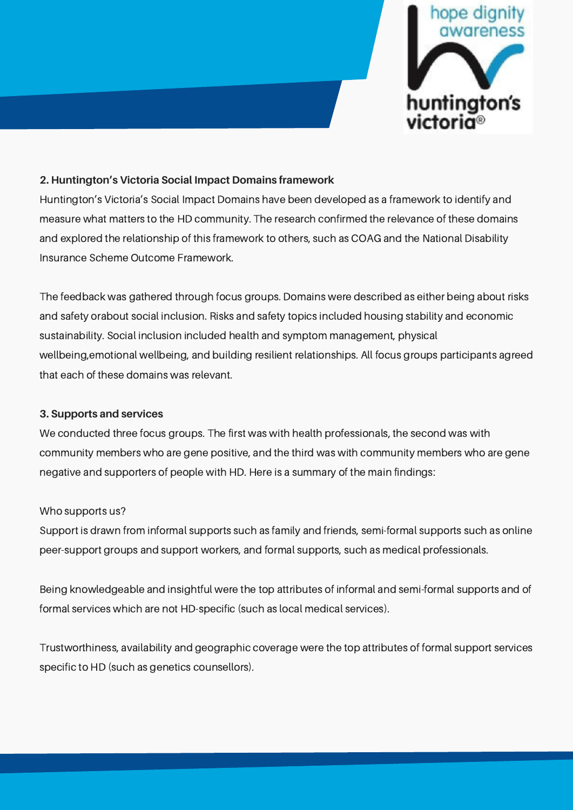

#### **2. Huntington's Victoria Social Impact Domains framework**

Huntington's Victoria's Social Impact Domains have been developed as a framework to identify and measure what matters to the HD community. The research confirmed the relevance of these domains and explored the relationship of this framework to others, such as COAG and the National Disability Insurance Scheme Outcome Framework.

The feedback was gathered through focus groups. Domains were described as either being about risks and safety orabout social inclusion. Risks and safety topics included housing stability and economic sustainability. Social inclusion included health and symptom management, physical wellbeing,emotional wellbeing, and building resilient relationships. All focus groups participants agreed that each of these domains was relevant.

## **3. Supports and services**

We conducted three focus groups. The first was with health professionals, the second was with community members who are gene positive, and the third was with community members who are gene negative and supporters of people with HD. Here is a summary of the main findings:

#### Who supports us?

Support is drawn from informal supports such as family and friends, semi-formal supports such as online peer-support groups and support workers, and formal supports, such as medical professionals.

Being knowledgeable and insightful were the top attributes of informal and semi-formal supports and of formal services which are not HD-specific (such as local medical services).

Trustworthiness, availability and geographic coverage were the top attributes of formal support services specific to HD (such as genetics counsellors).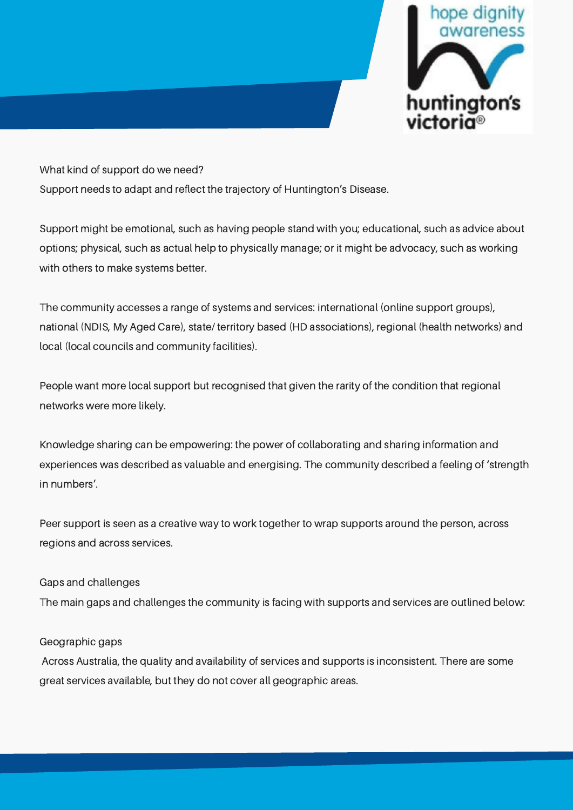

What kind of support do we need? Support needs to adapt and reflect the trajectory of Huntington's Disease.

Support might be emotional, such as having people stand with you; educational, such as advice about options; physical, such as actual help to physically manage; or it might be advocacy, such as working with others to make systems better.

The community accesses a range of systems and services: international (online support groups), national (NDIS, My Aged Care), state/ territory based (HD associations), regional (health networks) and local (local councils and community facilities).

People want more local support but recognised that given the rarity of the condition that regional networks were more likely.

Knowledge sharing can be empowering: the power of collaborating and sharing information and experiences was described as valuable and energising. The community described a feeling of 'strength in numbers'.

Peer support is seen as a creative way to work together to wrap supports around the person, across regions and across services.

# Gaps and challenges

The main gaps and challenges the community is facing with supports and services are outlined below:

## Geographic gaps

Across Australia, the quality and availability of services and supports is inconsistent. There are some great services available, but they do not cover all geographic areas.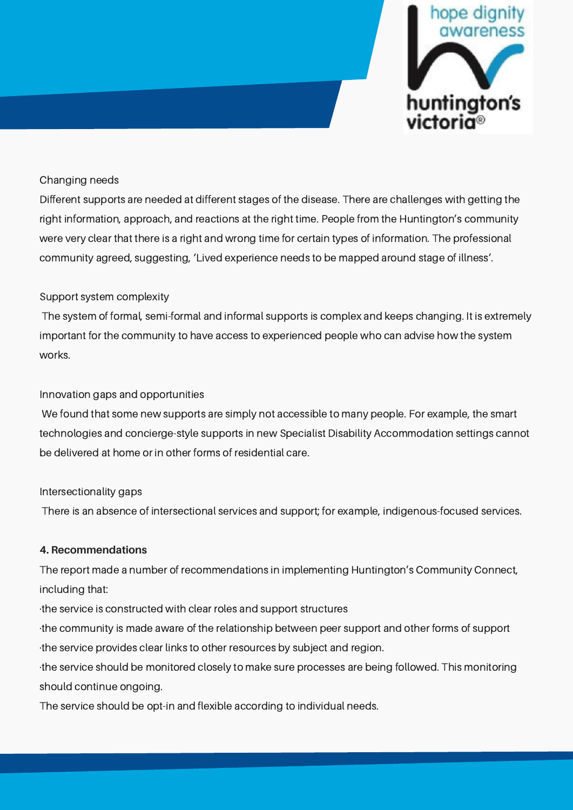

## Changing needs

Different supports are needed at different stages of the disease. There are challenges with getting the right information, approach, and reactions at the right time. People from the Huntington's community were very clear that there is a right and wrong time for certain types of information. The professional community agreed, suggesting, 'Lived experience needs to be mapped around stage of illness'.

## Support system complexity

The system of formal, semi-formal and informal supports is complex and keeps changing. It is extremely important for the community to have access to experienced people who can advise how the system works.

## Innovation gaps and opportunities

We found that some new supports are simply not accessible to many people. For example, the smart technologies and concierge-style supports in new Specialist Disability Accommodation settings cannot be delivered at home or in other forms of residential care.

## Intersectionality gaps

There is an absence of intersectional services and support; for example, indigenous-focused services.

## **4. Recommendations**

The report made a number of recommendations in implementing Huntington's Community Connect, including that:

·the service is constructed with clear roles and support structures

·the community is made aware of the relationship between peer support and other forms of support ·the service provides clear links to other resources by subject and region.

·the service should be monitored closely to make sure processes are being followed. This monitoring should continue ongoing.

The service should be opt-in and flexible according to individual needs.